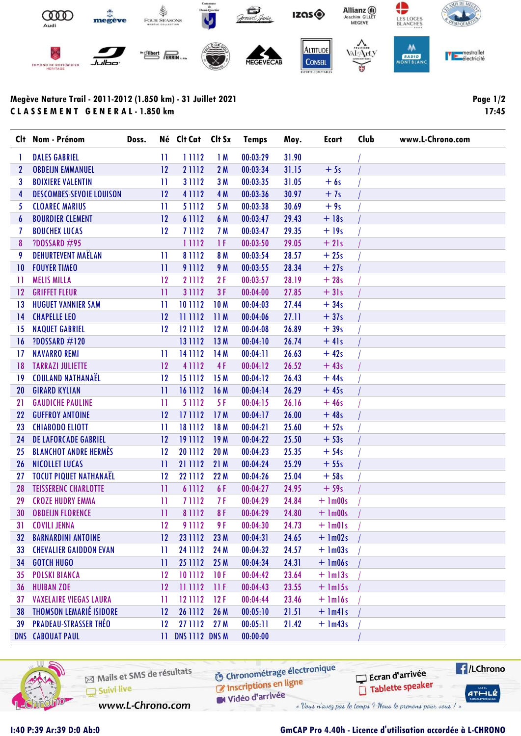

## Megève Nature Trail - 2011-2012 (1.850 km) - 31 Juillet 2021 C L A S S E M E N T G E N E R A L - 1.850 km

Page 1/2 17:45

| Clt              | Nom - Prénom                    | Doss. |              | Né Clt Cat     | Clt Sx          | <b>Temps</b> | Moy.  | Ecart        | Club | www.L-Chrono.com |
|------------------|---------------------------------|-------|--------------|----------------|-----------------|--------------|-------|--------------|------|------------------|
| 1                | <b>DALES GABRIEL</b>            |       | $\mathbf{1}$ | 11112          | 1M              | 00:03:29     | 31.90 |              |      |                  |
| $\mathbf{2}$     | <b>OBDEIJN EMMANUEL</b>         |       | 12           | 21112          | 2M              | 00:03:34     | 31.15 | $+5s$        |      |                  |
| 3                | <b>BOIXIERE VALENTIN</b>        |       | $\mathbf{H}$ | 31112          | 3 M             | 00:03:35     | 31.05 | $+6s$        |      |                  |
| 4                | <b>DESCOMBES-SEVOIE LOUISON</b> |       | 12           | 41112          | 4 M             | 00:03:36     | 30.97 | $+7s$        |      |                  |
| 5                | <b>CLOAREC MARIUS</b>           |       | $\mathbf{1}$ | 51112          | 5 M             | 00:03:38     | 30.69 | $+9s$        |      |                  |
| $\boldsymbol{6}$ | <b>BOURDIER CLEMENT</b>         |       | 12           | 6 1112         | 6 M             | 00:03:47     | 29.43 | $+18s$       |      |                  |
| 7                | <b>BOUCHEX LUCAS</b>            |       | 12           | 71112          | 7 M             | 00:03:47     | 29.35 | $+19s$       |      |                  |
| 8                | <b>?DOSSARD #95</b>             |       |              | 11112          | 1 F             | 00:03:50     | 29.05 | $+21s$       |      |                  |
| 9                | <b>DEHURTEVENT MAËLAN</b>       |       | $\mathbf{H}$ | 81112          | 8 M             | 00:03:54     | 28.57 | $+25s$       |      |                  |
| 10               | <b>FOUYER TIMEO</b>             |       | $\mathbf{1}$ | 91112          | 9 M             | 00:03:55     | 28.34 | $+27s$       |      |                  |
| -11              | <b>MELIS MILLA</b>              |       | 12           | 21112          | 2F              | 00:03:57     | 28.19 | $+28s$       |      |                  |
| 12               | <b>GRIFFET FLEUR</b>            |       | $\mathbf{H}$ | 31112          | 3F              | 00:04:00     | 27.85 | $+31s$       |      |                  |
| 13               | <b>HUGUET VANNIER SAM</b>       |       | $\mathbf{H}$ | 10 1112        | 10 <sub>M</sub> | 00:04:03     | 27.44 | $+34s$       |      |                  |
| 4                | <b>CHAPELLE LEO</b>             |       | 12           | 11 1112        | 11M             | 00:04:06     | 27.11 | $+37s$       |      |                  |
| 15               | <b>NAQUET GABRIEL</b>           |       | 12           | 12 1112        | 12M             | 00:04:08     | 26.89 | $+39s$       |      |                  |
| 16               | <b>?DOSSARD #120</b>            |       |              | 13 1112        | 13 M            | 00:04:10     | 26.74 | $+41s$       |      |                  |
| $\overline{17}$  | <b>NAVARRO REMI</b>             |       | $\mathbf{1}$ | 14 11 12       | 14 M            | 00:04:11     | 26.63 | $+42s$       |      |                  |
| 18               | <b>TARRAZI JULIETTE</b>         |       | 12           | 41112          | 4F              | 00:04:12     | 26.52 | $+43s$       |      |                  |
| 19               | <b>COULAND NATHANAEL</b>        |       | 12           | 15 1112        | 15M             | 00:04:12     | 26.43 | $+44s$       |      |                  |
| 20               | <b>GIRARD KYLIAN</b>            |       | $\mathbf{1}$ | 16 1112        | 16 M            | 00:04:14     | 26.29 | $+45s$       |      |                  |
| 21               | <b>GAUDICHE PAULINE</b>         |       | $\mathbf{H}$ | 51112          | 5F              | 00:04:15     | 26.16 | $+46s$       |      |                  |
| 22               | <b>GUFFROY ANTOINE</b>          |       | 12           | 171112         | 17 <sub>M</sub> | 00:04:17     | 26.00 | $+48s$       |      |                  |
| 23               | <b>CHIABODO ELIOTT</b>          |       | $\mathbf{H}$ | 18 11 12       | 18 M            | 00:04:21     | 25.60 | $+52s$       |      |                  |
| 24               | <b>DE LAFORCADE GABRIEL</b>     |       | 12           | 191112         | 19 M            | 00:04:22     | 25.50 | $+53s$       |      |                  |
| 25               | <b>BLANCHOT ANDRE HERMÈS</b>    |       | 12           | 20 1112        | 20 M            | 00:04:23     | 25.35 | $+54s$       |      |                  |
| 26               | NICOLLET LUCAS                  |       | $\mathbf{1}$ | 21 1112        | 21M             | 00:04:24     | 25.29 | $+55s$       |      |                  |
| 27               | <b>TOCUT PIQUET NATHANAËL</b>   |       | 12           | 22 1112        | 22 M            | 00:04:26     | 25.04 | $+58s$       |      |                  |
| 28               | <b>TEISSERENC CHARLOTTE</b>     |       | $\mathbf{H}$ | 6 1 1 1 2      | 6 F             | 00:04:27     | 24.95 | $+59s$       |      |                  |
| 29               | <b>CROZE HUDRY EMMA</b>         |       | $\mathbf{H}$ | 71112          | 7 F             | 00:04:29     | 24.84 | $+$ 1m00s    |      |                  |
| 30               | <b>OBDEIJN FLORENCE</b>         |       | $\mathbf{H}$ | 81112          | 8F              | 00:04:29     | 24.80 | $+$ 1m00s    |      |                  |
|                  | 31 COVILI JENNA                 |       | 12           | 9 1 1 1 2      | 9F              | 00:04:30     | 24.73 | $+$ 1m01s    |      |                  |
| 32               | <b>BARNARDINI ANTOINE</b>       |       | 12           | 23 1112        | 23 M            | 00:04:31     | 24.65 | $+$ 1m02s    |      |                  |
| 33               | <b>CHEVALIER GAIDDON EVAN</b>   |       | $\mathbf{1}$ | 24 11 12       | 24 M            | 00:04:32     | 24.57 | $+$ 1m03s    |      |                  |
| 34               | <b>GOTCH HUGO</b>               |       | $\mathbf{H}$ | 25 1112        | 25 M            | 00:04:34     | 24.31 | $+$ 1m06s    |      |                  |
| 35               | <b>POLSKI BIANCA</b>            |       | 12           | 10 11 12       | 10F             | 00:04:42     | 23.64 | $+$ $lm13s$  |      |                  |
| 36               | <b>HUIBAN ZOE</b>               |       | 12           | 111112         | 11F             | 00:04:43     | 23.55 | $+$ $lm15s$  |      |                  |
| 37               | <b>VAXELAIRE VIEGAS LAURA</b>   |       | П            | 12 1112        | 12F             | 00:04:44     | 23.46 | $+$ $lml$ 6s |      |                  |
| 38               | <b>THOMSON LEMARIÉ ISIDORE</b>  |       | 12           | 26 1112        | 26 M            | 00:05:10     | 21.51 | $+$ 1m41s    |      |                  |
| 39               | <b>PRADEAU-STRASSER THÉO</b>    |       | 12           | 27 1112        | 27 M            | 00:05:11     | 21.42 | $+$ 1m43s    |      |                  |
|                  | <b>DNS CABOUAT PAUL</b>         |       | $\mathbf{H}$ | DNS 1112 DNS M |                 | 00:00:00     |       |              |      |                  |



Mails et SMS de résultats  $\Box$  Suivi live

Chronométrage électronique Inscriptions en ligne

M Vidéo d'arrivée « Vous n'avez pas le temps ? Nous le prenons pour vous / »

Ecran d'arrivée Tablette speaker



www.L-Chrono.com

## I:40 P:39 Ar:39 D:0 Ab:0 GmCAP Pro 4.40h - Licence d'utilisation accordée à L-CHRONO